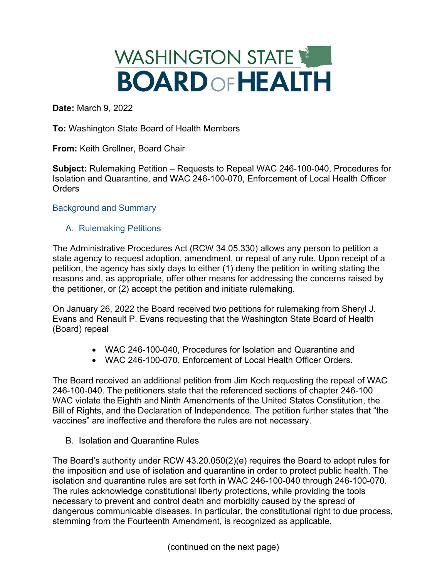# WASHINGTON STATE **BOARD OF HEALTH**

**Date:** March 9, 2022

**To:** Washington State Board of Health Members

**From:** Keith Grellner, Board Chair

**Subject:** Rulemaking Petition – Requests to Repeal WAC 246-100-040, Procedures for Isolation and Quarantine, and WAC 246-100-070, Enforcement of Local Health Officer **Orders** 

### Background and Summary

## A. Rulemaking Petitions

The Administrative Procedures Act (RCW 34.05.330) allows any person to petition a state agency to request adoption, amendment, or repeal of any rule. Upon receipt of a petition, the agency has sixty days to either (1) deny the petition in writing stating the reasons and, as appropriate, offer other means for addressing the concerns raised by the petitioner, or (2) accept the petition and initiate rulemaking.

On January 26, 2022 the Board received two petitions for rulemaking from Sheryl J. Evans and Renault P. Evans requesting that the Washington State Board of Health (Board) repeal

- WAC 246-100-040, Procedures for Isolation and Quarantine and
- WAC 246-100-070, Enforcement of Local Health Officer Orders.

The Board received an additional petition from Jim Koch requesting the repeal of WAC 246-100-040. The petitioners state that the referenced sections of chapter 246-100 WAC violate the Eighth and Ninth Amendments of the United States Constitution, the Bill of Rights, and the Declaration of Independence. The petition further states that "the vaccines" are ineffective and therefore the rules are not necessary.

B. Isolation and Quarantine Rules

The Board's authority under RCW 43.20.050(2)(e) requires the Board to adopt rules for the imposition and use of isolation and quarantine in order to protect public health. The isolation and quarantine rules are set forth in WAC 246-100-040 through 246-100-070. The rules acknowledge constitutional liberty protections, while providing the tools necessary to prevent and control death and morbidity caused by the spread of dangerous communicable diseases. In particular, the constitutional right to due process, stemming from the Fourteenth Amendment, is recognized as applicable.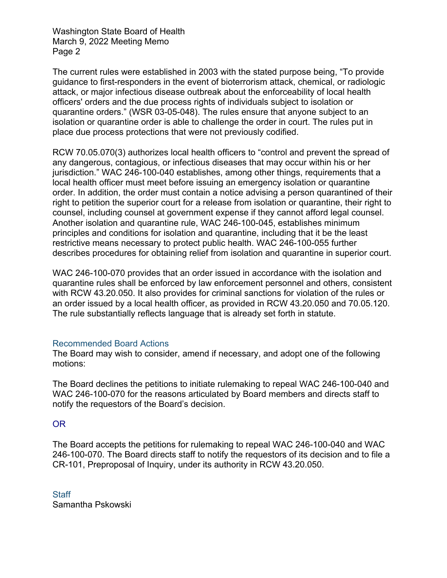Washington State Board of Health March 9, 2022 Meeting Memo Page 2

The current rules were established in 2003 with the stated purpose being, "To provide guidance to first-responders in the event of bioterrorism attack, chemical, or radiologic attack, or major infectious disease outbreak about the enforceability of local health officers' orders and the due process rights of individuals subject to isolation or quarantine orders." (WSR 03-05-048). The rules ensure that anyone subject to an isolation or quarantine order is able to challenge the order in court. The rules put in place due process protections that were not previously codified.

RCW 70.05.070(3) authorizes local health officers to "control and prevent the spread of any dangerous, contagious, or infectious diseases that may occur within his or her jurisdiction." WAC 246-100-040 establishes, among other things, requirements that a local health officer must meet before issuing an emergency isolation or quarantine order. In addition, the order must contain a notice advising a person quarantined of their right to petition the superior court for a release from isolation or quarantine, their right to counsel, including counsel at government expense if they cannot afford legal counsel. Another isolation and quarantine rule, WAC 246-100-045, establishes minimum principles and conditions for isolation and quarantine, including that it be the least restrictive means necessary to protect public health. WAC 246-100-055 further describes procedures for obtaining relief from isolation and quarantine in superior court.

WAC 246-100-070 provides that an order issued in accordance with the isolation and quarantine rules shall be enforced by law enforcement personnel and others, consistent with RCW 43.20.050. It also provides for criminal sanctions for violation of the rules or an order issued by a local health officer, as provided in RCW 43.20.050 and 70.05.120. The rule substantially reflects language that is already set forth in statute.

### Recommended Board Actions

The Board may wish to consider, amend if necessary, and adopt one of the following motions:

The Board declines the petitions to initiate rulemaking to repeal WAC 246-100-040 and WAC 246-100-070 for the reasons articulated by Board members and directs staff to notify the requestors of the Board's decision.

## OR

The Board accepts the petitions for rulemaking to repeal WAC 246-100-040 and WAC 246-100-070. The Board directs staff to notify the requestors of its decision and to file a CR-101, Preproposal of Inquiry, under its authority in RCW 43.20.050.

**Staff** Samantha Pskowski